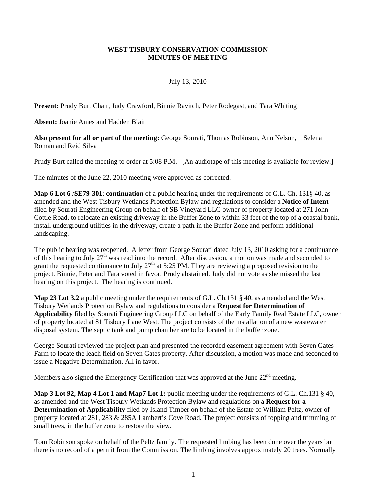## **WEST TISBURY CONSERVATION COMMISSION MINUTES OF MEETING**

## July 13, 2010

**Present:** Prudy Burt Chair, Judy Crawford, Binnie Ravitch, Peter Rodegast, and Tara Whiting

**Absent:** Joanie Ames and Hadden Blair

**Also present for all or part of the meeting:** George Sourati, Thomas Robinson, Ann Nelson, Selena Roman and Reid Silva

Prudy Burt called the meeting to order at 5:08 P.M. [An audiotape of this meeting is available for review.]

The minutes of the June 22, 2010 meeting were approved as corrected.

**Map 6 Lot 6** /**SE79-301**: **continuation** of a public hearing under the requirements of G.L. Ch. 131§ 40, as amended and the West Tisbury Wetlands Protection Bylaw and regulations to consider a **Notice of Intent** filed by Sourati Engineering Group on behalf of SB Vineyard LLC owner of property located at 271 John Cottle Road, to relocate an existing driveway in the Buffer Zone to within 33 feet of the top of a coastal bank, install underground utilities in the driveway, create a path in the Buffer Zone and perform additional landscaping.

The public hearing was reopened. A letter from George Sourati dated July 13, 2010 asking for a continuance of this hearing to July  $27<sup>th</sup>$  was read into the record. After discussion, a motion was made and seconded to grant the requested continuance to July  $27<sup>th</sup>$  at 5:25 PM. They are reviewing a proposed revision to the project. Binnie, Peter and Tara voted in favor. Prudy abstained. Judy did not vote as she missed the last hearing on this project. The hearing is continued.

**Map 23 Lot 3.2** a public meeting under the requirements of G.L. Ch.131 § 40, as amended and the West Tisbury Wetlands Protection Bylaw and regulations to consider a **Request for Determination of Applicability** filed by Sourati Engineering Group LLC on behalf of the Early Family Real Estate LLC, owner of property located at 81 Tisbury Lane West. The project consists of the installation of a new wastewater disposal system. The septic tank and pump chamber are to be located in the buffer zone.

George Sourati reviewed the project plan and presented the recorded easement agreement with Seven Gates Farm to locate the leach field on Seven Gates property. After discussion, a motion was made and seconded to issue a Negative Determination. All in favor.

Members also signed the Emergency Certification that was approved at the June 22<sup>nd</sup> meeting.

**Map 3 Lot 92, Map 4 Lot 1 and Map7 Lot 1:** public meeting under the requirements of G.L. Ch.131 § 40, as amended and the West Tisbury Wetlands Protection Bylaw and regulations on a **Request for a Determination of Applicability** filed by Island Timber on behalf of the Estate of William Peltz, owner of property located at 281, 283 & 285A Lambert's Cove Road. The project consists of topping and trimming of small trees, in the buffer zone to restore the view.

Tom Robinson spoke on behalf of the Peltz family. The requested limbing has been done over the years but there is no record of a permit from the Commission. The limbing involves approximately 20 trees. Normally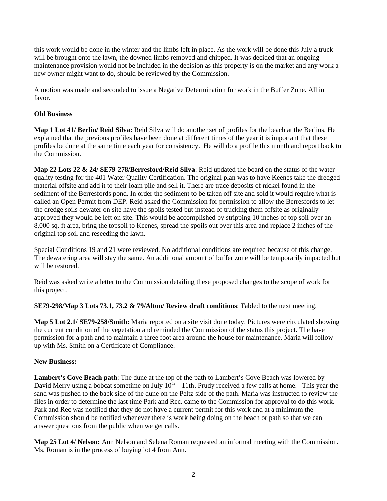this work would be done in the winter and the limbs left in place. As the work will be done this July a truck will be brought onto the lawn, the downed limbs removed and chipped. It was decided that an ongoing maintenance provision would not be included in the decision as this property is on the market and any work a new owner might want to do, should be reviewed by the Commission.

A motion was made and seconded to issue a Negative Determination for work in the Buffer Zone. All in favor.

# **Old Business**

**Map 1 Lot 41/ Berlin/ Reid Silva:** Reid Silva will do another set of profiles for the beach at the Berlins. He explained that the previous profiles have been done at different times of the year it is important that these profiles be done at the same time each year for consistency. He will do a profile this month and report back to the Commission.

**Map 22 Lots 22 & 24/ SE79-278/Berresford/Reid Silva**: Reid updated the board on the status of the water quality testing for the 401 Water Quality Certification. The original plan was to have Keenes take the dredged material offsite and add it to their loam pile and sell it. There are trace deposits of nickel found in the sediment of the Berresfords pond. In order the sediment to be taken off site and sold it would require what is called an Open Permit from DEP. Reid asked the Commission for permission to allow the Berresfords to let the dredge soils dewater on site have the spoils tested but instead of trucking them offsite as originally approved they would be left on site. This would be accomplished by stripping 10 inches of top soil over an 8,000 sq. ft area, bring the topsoil to Keenes, spread the spoils out over this area and replace 2 inches of the original top soil and reseeding the lawn.

Special Conditions 19 and 21 were reviewed. No additional conditions are required because of this change. The dewatering area will stay the same. An additional amount of buffer zone will be temporarily impacted but will be restored.

Reid was asked write a letter to the Commission detailing these proposed changes to the scope of work for this project.

**SE79-298/Map 3 Lots 73.1, 73.2 & 79/Alton/ Review draft conditions**: Tabled to the next meeting.

**Map 5 Lot 2.1/ SE79-258/Smith:** Maria reported on a site visit done today. Pictures were circulated showing the current condition of the vegetation and reminded the Commission of the status this project. The have permission for a path and to maintain a three foot area around the house for maintenance. Maria will follow up with Ms. Smith on a Certificate of Compliance.

# **New Business:**

**Lambert's Cove Beach path**: The dune at the top of the path to Lambert's Cove Beach was lowered by David Merry using a bobcat sometime on July  $10^{th}$  – 11th. Prudy received a few calls at home. This year the sand was pushed to the back side of the dune on the Peltz side of the path. Maria was instructed to review the files in order to determine the last time Park and Rec. came to the Commission for approval to do this work. Park and Rec was notified that they do not have a current permit for this work and at a minimum the Commission should be notified whenever there is work being doing on the beach or path so that we can answer questions from the public when we get calls.

**Map 25 Lot 4/ Nelson:** Ann Nelson and Selena Roman requested an informal meeting with the Commission. Ms. Roman is in the process of buying lot 4 from Ann.